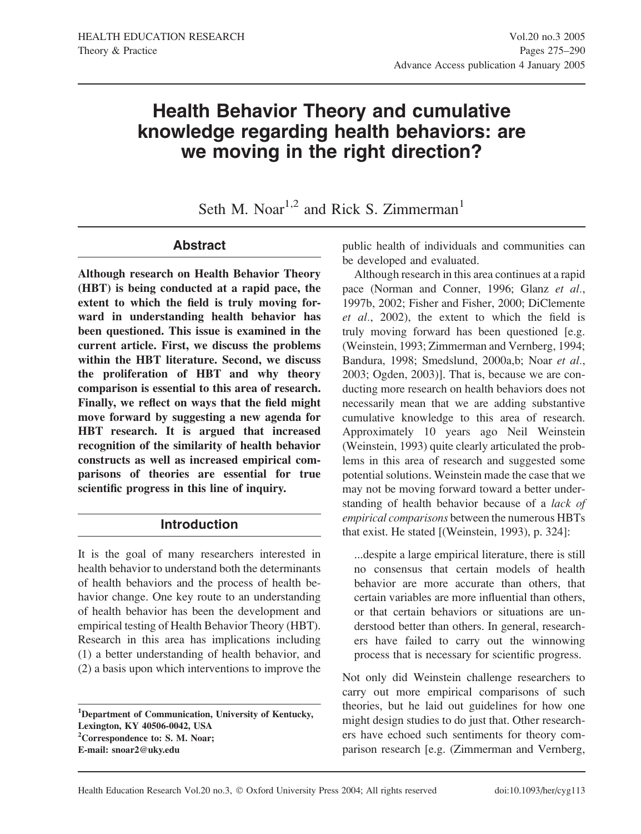# Health Behavior Theory and cumulative knowledge regarding health behaviors: are we moving in the right direction?

Seth M. Noar<sup>1,2</sup> and Rick S. Zimmerman<sup>1</sup>

# Abstract

Although research on Health Behavior Theory (HBT) is being conducted at a rapid pace, the extent to which the field is truly moving forward in understanding health behavior has been questioned. This issue is examined in the current article. First, we discuss the problems within the HBT literature. Second, we discuss the proliferation of HBT and why theory comparison is essential to this area of research. Finally, we reflect on ways that the field might move forward by suggesting a new agenda for HBT research. It is argued that increased recognition of the similarity of health behavior constructs as well as increased empirical comparisons of theories are essential for true scientific progress in this line of inquiry.

## Introduction

It is the goal of many researchers interested in health behavior to understand both the determinants of health behaviors and the process of health behavior change. One key route to an understanding of health behavior has been the development and empirical testing of Health Behavior Theory (HBT). Research in this area has implications including (1) a better understanding of health behavior, and (2) a basis upon which interventions to improve the

<sup>1</sup>Department of Communication, University of Kentucky, Lexington, KY 40506-0042, USA <sup>2</sup>Correspondence to: S. M. Noar; E-mail: snoar2@uky.edu

public health of individuals and communities can be developed and evaluated.

Although research in this area continues at a rapid pace (Norman and Conner, 1996; Glanz et al., 1997b, 2002; Fisher and Fisher, 2000; DiClemente et al., 2002), the extent to which the field is truly moving forward has been questioned [e.g. (Weinstein, 1993; Zimmerman and Vernberg, 1994; Bandura, 1998; Smedslund, 2000a,b; Noar et al., 2003; Ogden, 2003)]. That is, because we are conducting more research on health behaviors does not necessarily mean that we are adding substantive cumulative knowledge to this area of research. Approximately 10 years ago Neil Weinstein (Weinstein, 1993) quite clearly articulated the problems in this area of research and suggested some potential solutions. Weinstein made the case that we may not be moving forward toward a better understanding of health behavior because of a lack of empirical comparisons between the numerous HBTs that exist. He stated [(Weinstein, 1993), p. 324]:

...despite a large empirical literature, there is still no consensus that certain models of health behavior are more accurate than others, that certain variables are more influential than others, or that certain behaviors or situations are understood better than others. In general, researchers have failed to carry out the winnowing process that is necessary for scientific progress.

Not only did Weinstein challenge researchers to carry out more empirical comparisons of such theories, but he laid out guidelines for how one might design studies to do just that. Other researchers have echoed such sentiments for theory comparison research [e.g. (Zimmerman and Vernberg,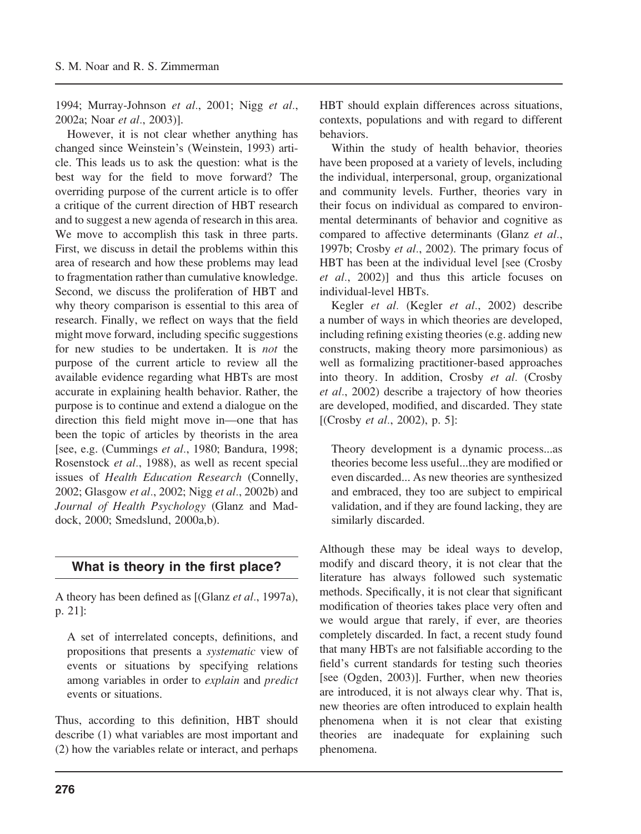1994; Murray-Johnson et al., 2001; Nigg et al., 2002a; Noar et al., 2003)].

However, it is not clear whether anything has changed since Weinstein's (Weinstein, 1993) article. This leads us to ask the question: what is the best way for the field to move forward? The overriding purpose of the current article is to offer a critique of the current direction of HBT research and to suggest a new agenda of research in this area. We move to accomplish this task in three parts. First, we discuss in detail the problems within this area of research and how these problems may lead to fragmentation rather than cumulative knowledge. Second, we discuss the proliferation of HBT and why theory comparison is essential to this area of research. Finally, we reflect on ways that the field might move forward, including specific suggestions for new studies to be undertaken. It is not the purpose of the current article to review all the available evidence regarding what HBTs are most accurate in explaining health behavior. Rather, the purpose is to continue and extend a dialogue on the direction this field might move in—one that has been the topic of articles by theorists in the area [see, e.g. (Cummings et al., 1980; Bandura, 1998; Rosenstock et al., 1988), as well as recent special issues of Health Education Research (Connelly, 2002; Glasgow et al., 2002; Nigg et al., 2002b) and Journal of Health Psychology (Glanz and Maddock, 2000; Smedslund, 2000a,b).

## What is theory in the first place?

A theory has been defined as [(Glanz et al., 1997a), p. 21]:

A set of interrelated concepts, definitions, and propositions that presents a systematic view of events or situations by specifying relations among variables in order to explain and predict events or situations.

Thus, according to this definition, HBT should describe (1) what variables are most important and (2) how the variables relate or interact, and perhaps HBT should explain differences across situations, contexts, populations and with regard to different behaviors.

Within the study of health behavior, theories have been proposed at a variety of levels, including the individual, interpersonal, group, organizational and community levels. Further, theories vary in their focus on individual as compared to environmental determinants of behavior and cognitive as compared to affective determinants (Glanz et al., 1997b; Crosby et al., 2002). The primary focus of HBT has been at the individual level [see (Crosby et al., 2002)] and thus this article focuses on individual-level HBTs.

Kegler et al. (Kegler et al., 2002) describe a number of ways in which theories are developed, including refining existing theories (e.g. adding new constructs, making theory more parsimonious) as well as formalizing practitioner-based approaches into theory. In addition, Crosby et al. (Crosby et al., 2002) describe a trajectory of how theories are developed, modified, and discarded. They state [(Crosby et al., 2002), p. 5]:

Theory development is a dynamic process...as theories become less useful...they are modified or even discarded... As new theories are synthesized and embraced, they too are subject to empirical validation, and if they are found lacking, they are similarly discarded.

Although these may be ideal ways to develop, modify and discard theory, it is not clear that the literature has always followed such systematic methods. Specifically, it is not clear that significant modification of theories takes place very often and we would argue that rarely, if ever, are theories completely discarded. In fact, a recent study found that many HBTs are not falsifiable according to the field's current standards for testing such theories [see (Ogden, 2003)]. Further, when new theories are introduced, it is not always clear why. That is, new theories are often introduced to explain health phenomena when it is not clear that existing theories are inadequate for explaining such phenomena.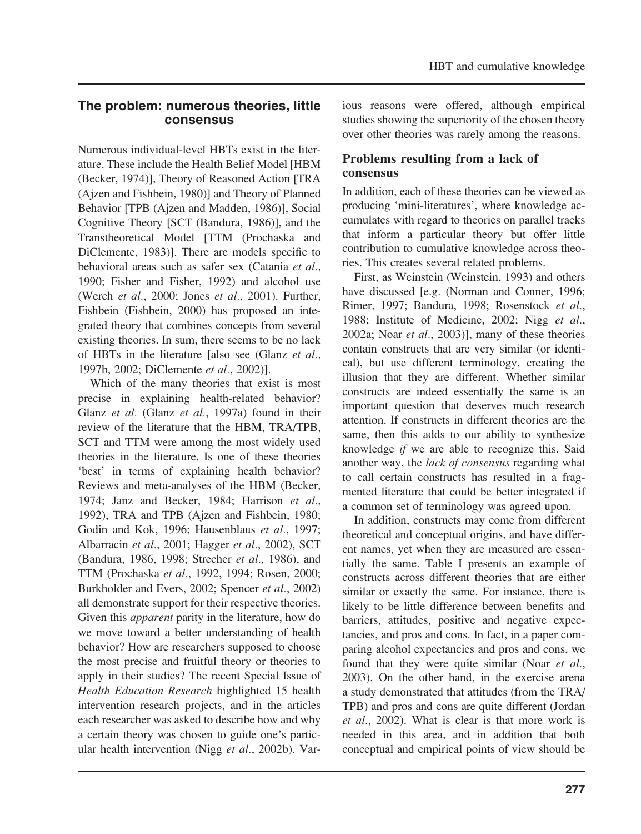## The problem: numerous theories, little consensus

Numerous individual-level HBTs exist in the literature. These include the Health Belief Model [HBM (Becker, 1974)], Theory of Reasoned Action [TRA (Ajzen and Fishbein, 1980)] and Theory of Planned Behavior [TPB (Ajzen and Madden, 1986)], Social Cognitive Theory [SCT (Bandura, 1986)], and the Transtheoretical Model [TTM (Prochaska and DiClemente, 1983)]. There are models specific to behavioral areas such as safer sex (Catania et al., 1990; Fisher and Fisher, 1992) and alcohol use (Werch et al., 2000; Jones et al., 2001). Further, Fishbein (Fishbein, 2000) has proposed an integrated theory that combines concepts from several existing theories. In sum, there seems to be no lack of HBTs in the literature [also see (Glanz et al., 1997b, 2002; DiClemente et al., 2002)].

Which of the many theories that exist is most precise in explaining health-related behavior? Glanz et al. (Glanz et al., 1997a) found in their review of the literature that the HBM, TRA/TPB, SCT and TTM were among the most widely used theories in the literature. Is one of these theories 'best' in terms of explaining health behavior? Reviews and meta-analyses of the HBM (Becker, 1974; Janz and Becker, 1984; Harrison et al., 1992), TRA and TPB (Ajzen and Fishbein, 1980; Godin and Kok, 1996; Hausenblaus et al., 1997; Albarracin et al., 2001; Hagger et al., 2002), SCT (Bandura, 1986, 1998; Strecher et al., 1986), and TTM (Prochaska et al., 1992, 1994; Rosen, 2000; Burkholder and Evers, 2002; Spencer et al., 2002) all demonstrate support for their respective theories. Given this apparent parity in the literature, how do we move toward a better understanding of health behavior? How are researchers supposed to choose the most precise and fruitful theory or theories to apply in their studies? The recent Special Issue of Health Education Research highlighted 15 health intervention research projects, and in the articles each researcher was asked to describe how and why a certain theory was chosen to guide one's particular health intervention (Nigg et al., 2002b). Various reasons were offered, although empirical studies showing the superiority of the chosen theory over other theories was rarely among the reasons.

# Problems resulting from a lack of consensus

In addition, each of these theories can be viewed as producing 'mini-literatures', where knowledge accumulates with regard to theories on parallel tracks that inform a particular theory but offer little contribution to cumulative knowledge across theories. This creates several related problems.

First, as Weinstein (Weinstein, 1993) and others have discussed [e.g. (Norman and Conner, 1996; Rimer, 1997; Bandura, 1998; Rosenstock et al., 1988; Institute of Medicine, 2002; Nigg et al., 2002a; Noar et al., 2003)], many of these theories contain constructs that are very similar (or identical), but use different terminology, creating the illusion that they are different. Whether similar constructs are indeed essentially the same is an important question that deserves much research attention. If constructs in different theories are the same, then this adds to our ability to synthesize knowledge if we are able to recognize this. Said another way, the lack of consensus regarding what to call certain constructs has resulted in a fragmented literature that could be better integrated if a common set of terminology was agreed upon.

In addition, constructs may come from different theoretical and conceptual origins, and have different names, yet when they are measured are essentially the same. Table I presents an example of constructs across different theories that are either similar or exactly the same. For instance, there is likely to be little difference between benefits and barriers, attitudes, positive and negative expectancies, and pros and cons. In fact, in a paper comparing alcohol expectancies and pros and cons, we found that they were quite similar (Noar et al., 2003). On the other hand, in the exercise arena a study demonstrated that attitudes (from the TRA/ TPB) and pros and cons are quite different (Jordan et al., 2002). What is clear is that more work is needed in this area, and in addition that both conceptual and empirical points of view should be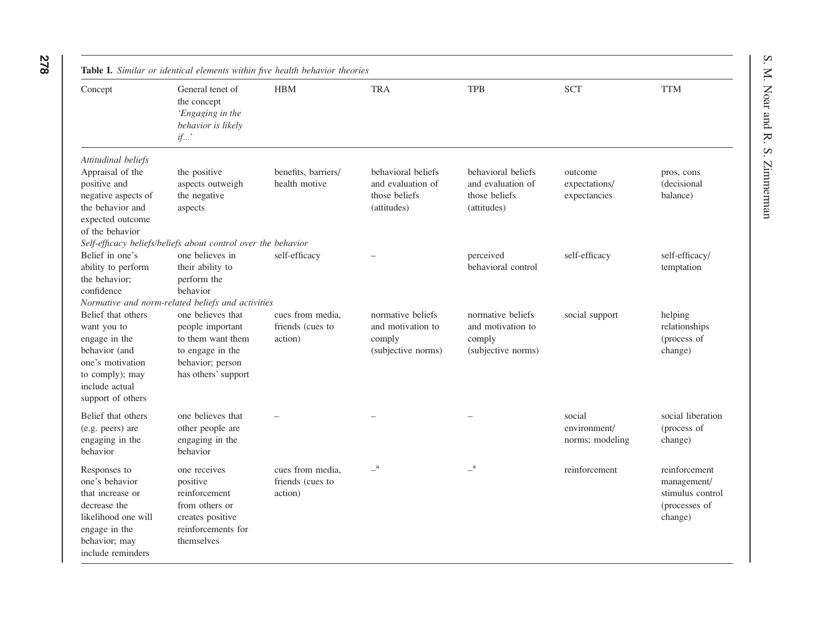| Concept                                                                                                                                           | General tenet of<br>the concept<br>'Engaging in the<br>behavior is likely<br>if                                                                                                      | <b>HBM</b>                                      | <b>TRA</b>                                                              | <b>TPB</b>                                                              | <b>SCT</b>                                | <b>TTM</b>                                                                   |
|---------------------------------------------------------------------------------------------------------------------------------------------------|--------------------------------------------------------------------------------------------------------------------------------------------------------------------------------------|-------------------------------------------------|-------------------------------------------------------------------------|-------------------------------------------------------------------------|-------------------------------------------|------------------------------------------------------------------------------|
| Attitudinal beliefs<br>Appraisal of the<br>positive and<br>negative aspects of<br>the behavior and<br>expected outcome<br>of the behavior         | the positive<br>aspects outweigh<br>the negative<br>aspects                                                                                                                          | benefits, barriers/<br>health motive            | behavioral beliefs<br>and evaluation of<br>those beliefs<br>(attitudes) | behavioral beliefs<br>and evaluation of<br>those beliefs<br>(attitudes) | outcome<br>expectations/<br>expectancies  | pros, cons<br>(decisional<br>balance)                                        |
| Belief in one's<br>ability to perform<br>the behavior:<br>confidence                                                                              | Self-efficacy beliefs/beliefs about control over the behavior<br>one believes in<br>their ability to<br>perform the<br>behavior<br>Normative and norm-related beliefs and activities | self-efficacy                                   |                                                                         | perceived<br>behavioral control                                         | self-efficacy                             | self-efficacy/<br>temptation                                                 |
| Belief that others<br>want you to<br>engage in the<br>behavior (and<br>one's motivation<br>to comply); may<br>include actual<br>support of others | one believes that<br>people important<br>to them want them<br>to engage in the<br>behavior; person<br>has others' support                                                            | cues from media.<br>friends (cues to<br>action) | normative beliefs<br>and motivation to<br>comply<br>(subjective norms)  | normative beliefs<br>and motivation to<br>comply<br>(subjective norms)  | social support                            | helping<br>relationships<br>(process of<br>change)                           |
| Belief that others<br>(e.g. peers) are<br>engaging in the<br>behavior                                                                             | one believes that<br>other people are<br>engaging in the<br>behavior                                                                                                                 |                                                 |                                                                         |                                                                         | social<br>environment/<br>norms; modeling | social liberation<br>(process of<br>change)                                  |
| Responses to<br>one's behavior<br>that increase or<br>decrease the<br>likelihood one will<br>engage in the<br>behavior; may<br>include reminders  | one receives<br>positive<br>reinforcement<br>from others or<br>creates positive<br>reinforcements for<br>themselves                                                                  | cues from media.<br>friends (cues to<br>action) | $\mathbf{a}$                                                            | $\mathbf{a}$                                                            | reinforcement                             | reinforcement<br>management/<br>stimulus control<br>(processes of<br>change) |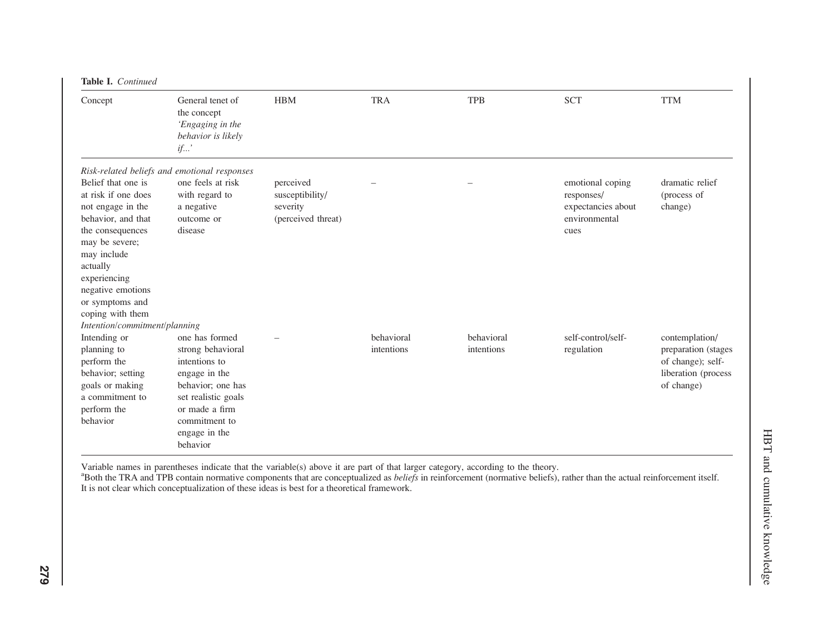| <b>Table I.</b> Continued                                                                                                                                                                                                         |                                                                                                                                                                       |                                                                |                          |                          |                                                                               |                                                                                                 |
|-----------------------------------------------------------------------------------------------------------------------------------------------------------------------------------------------------------------------------------|-----------------------------------------------------------------------------------------------------------------------------------------------------------------------|----------------------------------------------------------------|--------------------------|--------------------------|-------------------------------------------------------------------------------|-------------------------------------------------------------------------------------------------|
| Concept                                                                                                                                                                                                                           | General tenet of<br>the concept<br>'Engaging in the<br>behavior is likely<br>if                                                                                       | <b>HBM</b>                                                     | <b>TRA</b>               | <b>TPB</b>               | <b>SCT</b>                                                                    | <b>TTM</b>                                                                                      |
|                                                                                                                                                                                                                                   | Risk-related beliefs and emotional responses                                                                                                                          |                                                                |                          |                          |                                                                               |                                                                                                 |
| Belief that one is<br>at risk if one does<br>not engage in the<br>behavior, and that<br>the consequences<br>may be severe;<br>may include<br>actually<br>experiencing<br>negative emotions<br>or symptoms and<br>coping with them | one feels at risk<br>with regard to<br>a negative<br>outcome or<br>disease                                                                                            | perceived<br>susceptibility/<br>severity<br>(perceived threat) |                          |                          | emotional coping<br>responses/<br>expectancies about<br>environmental<br>cues | dramatic relief<br>(process of<br>change)                                                       |
| Intention/commitment/planning                                                                                                                                                                                                     |                                                                                                                                                                       |                                                                |                          |                          |                                                                               |                                                                                                 |
| Intending or<br>planning to<br>perform the<br>behavior; setting<br>goals or making<br>a commitment to<br>perform the<br>behavior                                                                                                  | one has formed<br>strong behavioral<br>intentions to<br>engage in the<br>behavior; one has<br>set realistic goals<br>or made a firm<br>commitment to<br>engage in the |                                                                | behavioral<br>intentions | behavioral<br>intentions | self-control/self-<br>regulation                                              | contemplation/<br>preparation (stages<br>of change); self-<br>liberation (process<br>of change) |

Variable names in parentheses indicate that the variable(s) above it are part of that larger category, according to the theory.

behavior

<sup>a</sup>Both the TRA and TPB contain normative components that are conceptualized as *beliefs* in reinforcement (normative beliefs), rather than the actual reinforcement itself. It is not clear which conceptualization of these ideas is best for <sup>a</sup> theoretical framework.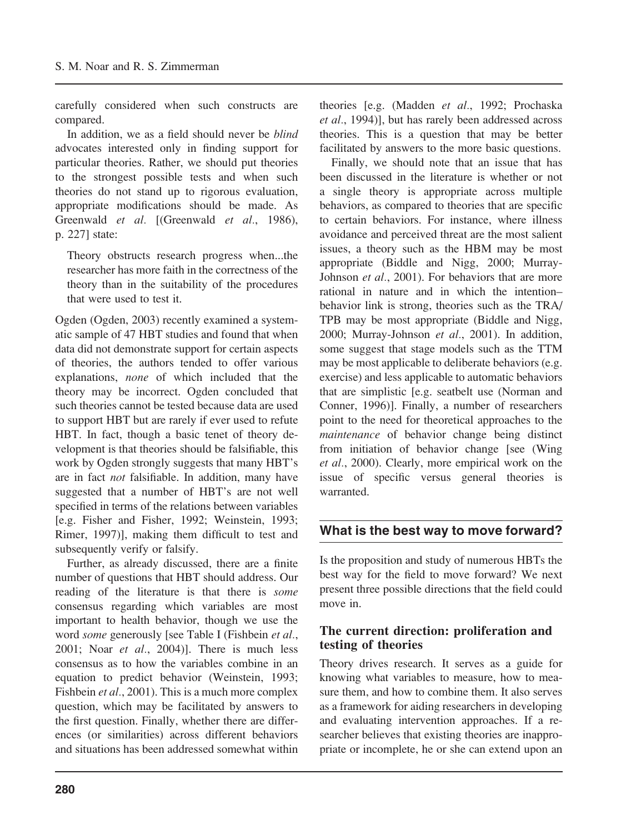carefully considered when such constructs are compared.

In addition, we as a field should never be blind advocates interested only in finding support for particular theories. Rather, we should put theories to the strongest possible tests and when such theories do not stand up to rigorous evaluation, appropriate modifications should be made. As Greenwald et al. [(Greenwald et al., 1986), p. 227] state:

Theory obstructs research progress when...the researcher has more faith in the correctness of the theory than in the suitability of the procedures that were used to test it.

Ogden (Ogden, 2003) recently examined a systematic sample of 47 HBT studies and found that when data did not demonstrate support for certain aspects of theories, the authors tended to offer various explanations, none of which included that the theory may be incorrect. Ogden concluded that such theories cannot be tested because data are used to support HBT but are rarely if ever used to refute HBT. In fact, though a basic tenet of theory development is that theories should be falsifiable, this work by Ogden strongly suggests that many HBT's are in fact not falsifiable. In addition, many have suggested that a number of HBT's are not well specified in terms of the relations between variables [e.g. Fisher and Fisher, 1992; Weinstein, 1993; Rimer, 1997)], making them difficult to test and subsequently verify or falsify.

Further, as already discussed, there are a finite number of questions that HBT should address. Our reading of the literature is that there is some consensus regarding which variables are most important to health behavior, though we use the word *some* generously [see Table I (Fishbein et al., 2001; Noar et al., 2004)]. There is much less consensus as to how the variables combine in an equation to predict behavior (Weinstein, 1993; Fishbein et al., 2001). This is a much more complex question, which may be facilitated by answers to the first question. Finally, whether there are differences (or similarities) across different behaviors and situations has been addressed somewhat within theories [e.g. (Madden et al., 1992; Prochaska et al., 1994)], but has rarely been addressed across theories. This is a question that may be better facilitated by answers to the more basic questions.

Finally, we should note that an issue that has been discussed in the literature is whether or not a single theory is appropriate across multiple behaviors, as compared to theories that are specific to certain behaviors. For instance, where illness avoidance and perceived threat are the most salient issues, a theory such as the HBM may be most appropriate (Biddle and Nigg, 2000; Murray-Johnson et al., 2001). For behaviors that are more rational in nature and in which the intention– behavior link is strong, theories such as the TRA/ TPB may be most appropriate (Biddle and Nigg, 2000; Murray-Johnson et al., 2001). In addition, some suggest that stage models such as the TTM may be most applicable to deliberate behaviors (e.g. exercise) and less applicable to automatic behaviors that are simplistic [e.g. seatbelt use (Norman and Conner, 1996)]. Finally, a number of researchers point to the need for theoretical approaches to the maintenance of behavior change being distinct from initiation of behavior change [see (Wing et al., 2000). Clearly, more empirical work on the issue of specific versus general theories is warranted.

#### What is the best way to move forward?

Is the proposition and study of numerous HBTs the best way for the field to move forward? We next present three possible directions that the field could move in.

#### The current direction: proliferation and testing of theories

Theory drives research. It serves as a guide for knowing what variables to measure, how to measure them, and how to combine them. It also serves as a framework for aiding researchers in developing and evaluating intervention approaches. If a researcher believes that existing theories are inappropriate or incomplete, he or she can extend upon an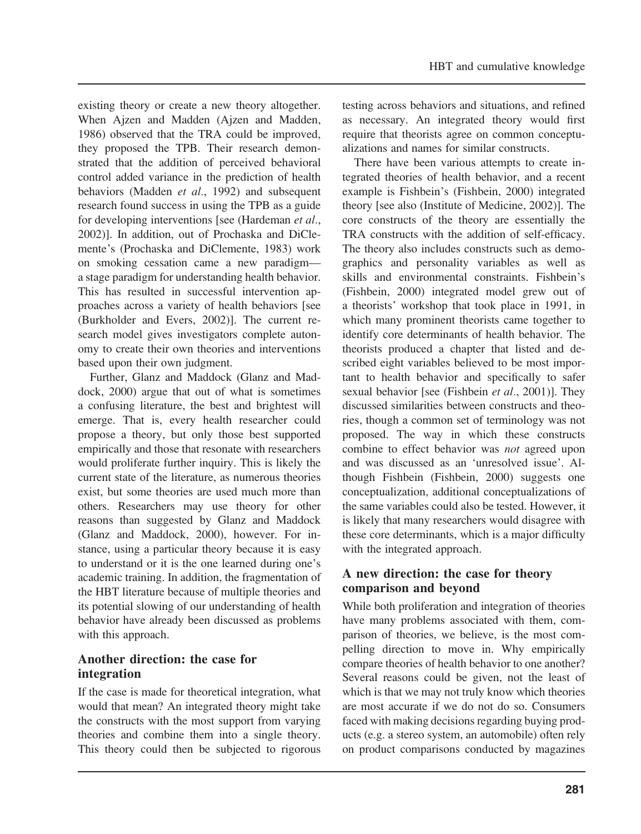existing theory or create a new theory altogether. When Ajzen and Madden (Ajzen and Madden, 1986) observed that the TRA could be improved, they proposed the TPB. Their research demonstrated that the addition of perceived behavioral control added variance in the prediction of health behaviors (Madden et al., 1992) and subsequent research found success in using the TPB as a guide for developing interventions [see (Hardeman et al., 2002)]. In addition, out of Prochaska and DiClemente's (Prochaska and DiClemente, 1983) work on smoking cessation came a new paradigm a stage paradigm for understanding health behavior. This has resulted in successful intervention approaches across a variety of health behaviors [see (Burkholder and Evers, 2002)]. The current research model gives investigators complete autonomy to create their own theories and interventions based upon their own judgment.

Further, Glanz and Maddock (Glanz and Maddock, 2000) argue that out of what is sometimes a confusing literature, the best and brightest will emerge. That is, every health researcher could propose a theory, but only those best supported empirically and those that resonate with researchers would proliferate further inquiry. This is likely the current state of the literature, as numerous theories exist, but some theories are used much more than others. Researchers may use theory for other reasons than suggested by Glanz and Maddock (Glanz and Maddock, 2000), however. For instance, using a particular theory because it is easy to understand or it is the one learned during one's academic training. In addition, the fragmentation of the HBT literature because of multiple theories and its potential slowing of our understanding of health behavior have already been discussed as problems with this approach.

#### Another direction: the case for integration

If the case is made for theoretical integration, what would that mean? An integrated theory might take the constructs with the most support from varying theories and combine them into a single theory. This theory could then be subjected to rigorous testing across behaviors and situations, and refined as necessary. An integrated theory would first require that theorists agree on common conceptualizations and names for similar constructs.

There have been various attempts to create integrated theories of health behavior, and a recent example is Fishbein's (Fishbein, 2000) integrated theory [see also (Institute of Medicine, 2002)]. The core constructs of the theory are essentially the TRA constructs with the addition of self-efficacy. The theory also includes constructs such as demographics and personality variables as well as skills and environmental constraints. Fishbein's (Fishbein, 2000) integrated model grew out of a theorists' workshop that took place in 1991, in which many prominent theorists came together to identify core determinants of health behavior. The theorists produced a chapter that listed and described eight variables believed to be most important to health behavior and specifically to safer sexual behavior [see (Fishbein *et al.*, 2001)]. They discussed similarities between constructs and theories, though a common set of terminology was not proposed. The way in which these constructs combine to effect behavior was not agreed upon and was discussed as an 'unresolved issue'. Although Fishbein (Fishbein, 2000) suggests one conceptualization, additional conceptualizations of the same variables could also be tested. However, it is likely that many researchers would disagree with these core determinants, which is a major difficulty with the integrated approach.

## A new direction: the case for theory comparison and beyond

While both proliferation and integration of theories have many problems associated with them, comparison of theories, we believe, is the most compelling direction to move in. Why empirically compare theories of health behavior to one another? Several reasons could be given, not the least of which is that we may not truly know which theories are most accurate if we do not do so. Consumers faced with making decisions regarding buying products (e.g. a stereo system, an automobile) often rely on product comparisons conducted by magazines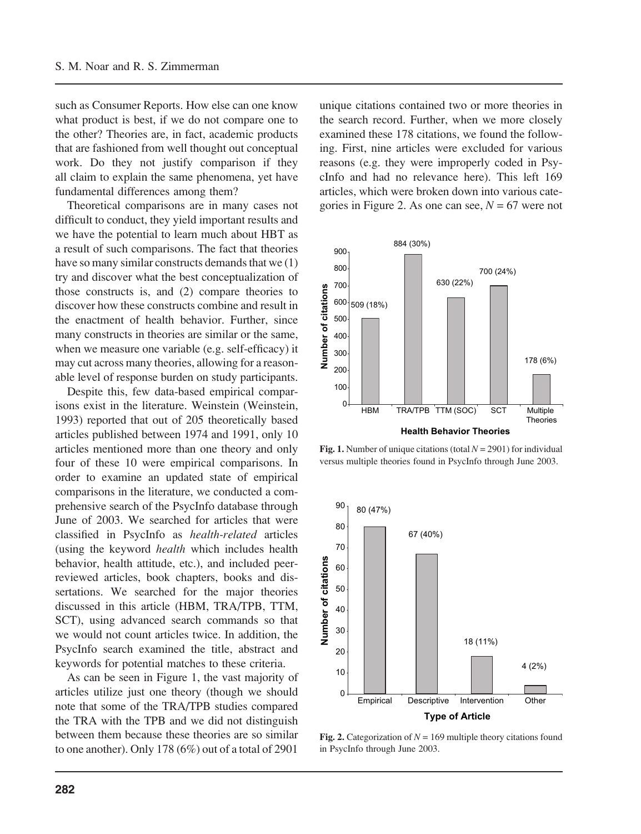such as Consumer Reports. How else can one know what product is best, if we do not compare one to the other? Theories are, in fact, academic products that are fashioned from well thought out conceptual work. Do they not justify comparison if they all claim to explain the same phenomena, yet have fundamental differences among them?

Theoretical comparisons are in many cases not difficult to conduct, they yield important results and we have the potential to learn much about HBT as a result of such comparisons. The fact that theories have so many similar constructs demands that we (1) try and discover what the best conceptualization of those constructs is, and (2) compare theories to discover how these constructs combine and result in the enactment of health behavior. Further, since many constructs in theories are similar or the same, when we measure one variable (e.g. self-efficacy) it may cut across many theories, allowing for a reasonable level of response burden on study participants.

Despite this, few data-based empirical comparisons exist in the literature. Weinstein (Weinstein, 1993) reported that out of 205 theoretically based articles published between 1974 and 1991, only 10 articles mentioned more than one theory and only four of these 10 were empirical comparisons. In order to examine an updated state of empirical comparisons in the literature, we conducted a comprehensive search of the PsycInfo database through June of 2003. We searched for articles that were classified in PsycInfo as health-related articles (using the keyword health which includes health behavior, health attitude, etc.), and included peerreviewed articles, book chapters, books and dissertations. We searched for the major theories discussed in this article (HBM, TRA/TPB, TTM, SCT), using advanced search commands so that we would not count articles twice. In addition, the PsycInfo search examined the title, abstract and keywords for potential matches to these criteria.

As can be seen in Figure 1, the vast majority of articles utilize just one theory (though we should note that some of the TRA/TPB studies compared the TRA with the TPB and we did not distinguish between them because these theories are so similar to one another). Only 178 (6%) out of a total of 2901

unique citations contained two or more theories in the search record. Further, when we more closely examined these 178 citations, we found the following. First, nine articles were excluded for various reasons (e.g. they were improperly coded in PsycInfo and had no relevance here). This left 169 articles, which were broken down into various categories in Figure 2. As one can see,  $N = 67$  were not



Fig. 1. Number of unique citations (total  $N = 2901$ ) for individual versus multiple theories found in PsycInfo through June 2003.



Fig. 2. Categorization of  $N = 169$  multiple theory citations found in PsycInfo through June 2003.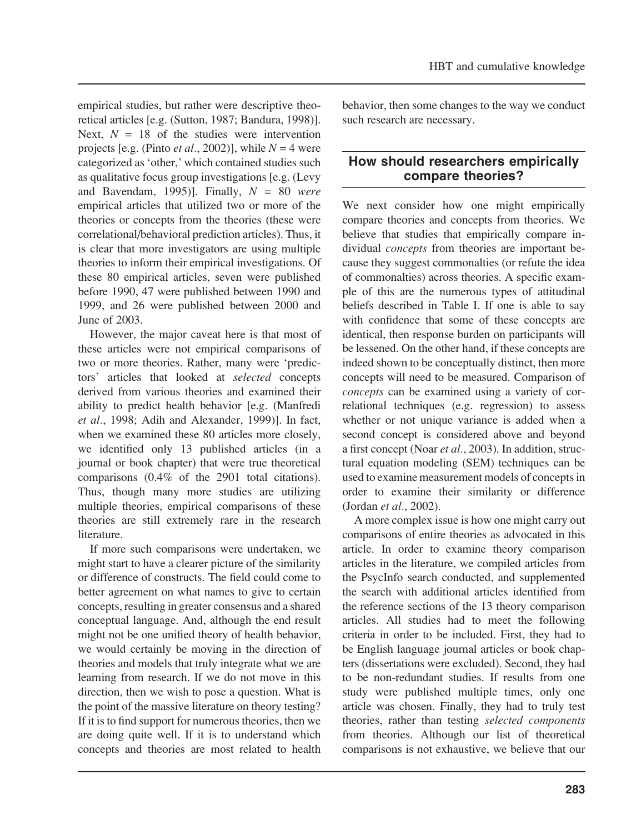empirical studies, but rather were descriptive theoretical articles [e.g. (Sutton, 1987; Bandura, 1998)]. Next,  $N = 18$  of the studies were intervention projects [e.g. (Pinto *et al.*, 2002)], while  $N = 4$  were categorized as 'other,' which contained studies such as qualitative focus group investigations [e.g. (Levy and Bavendam, 1995)]. Finally,  $N = 80$  were empirical articles that utilized two or more of the theories or concepts from the theories (these were correlational/behavioral prediction articles). Thus, it is clear that more investigators are using multiple theories to inform their empirical investigations. Of these 80 empirical articles, seven were published before 1990, 47 were published between 1990 and 1999, and 26 were published between 2000 and June of 2003.

However, the major caveat here is that most of these articles were not empirical comparisons of two or more theories. Rather, many were 'predictors' articles that looked at selected concepts derived from various theories and examined their ability to predict health behavior [e.g. (Manfredi et al., 1998; Adih and Alexander, 1999)]. In fact, when we examined these 80 articles more closely, we identified only 13 published articles (in a journal or book chapter) that were true theoretical comparisons (0.4% of the 2901 total citations). Thus, though many more studies are utilizing multiple theories, empirical comparisons of these theories are still extremely rare in the research literature.

If more such comparisons were undertaken, we might start to have a clearer picture of the similarity or difference of constructs. The field could come to better agreement on what names to give to certain concepts, resulting in greater consensus and a shared conceptual language. And, although the end result might not be one unified theory of health behavior, we would certainly be moving in the direction of theories and models that truly integrate what we are learning from research. If we do not move in this direction, then we wish to pose a question. What is the point of the massive literature on theory testing? If it is to find support for numerous theories, then we are doing quite well. If it is to understand which concepts and theories are most related to health behavior, then some changes to the way we conduct such research are necessary.

# How should researchers empirically compare theories?

We next consider how one might empirically compare theories and concepts from theories. We believe that studies that empirically compare individual concepts from theories are important because they suggest commonalties (or refute the idea of commonalties) across theories. A specific example of this are the numerous types of attitudinal beliefs described in Table I. If one is able to say with confidence that some of these concepts are identical, then response burden on participants will be lessened. On the other hand, if these concepts are indeed shown to be conceptually distinct, then more concepts will need to be measured. Comparison of concepts can be examined using a variety of correlational techniques (e.g. regression) to assess whether or not unique variance is added when a second concept is considered above and beyond a first concept (Noar et al., 2003). In addition, structural equation modeling (SEM) techniques can be used to examine measurement models of concepts in order to examine their similarity or difference (Jordan et al., 2002).

A more complex issue is how one might carry out comparisons of entire theories as advocated in this article. In order to examine theory comparison articles in the literature, we compiled articles from the PsycInfo search conducted, and supplemented the search with additional articles identified from the reference sections of the 13 theory comparison articles. All studies had to meet the following criteria in order to be included. First, they had to be English language journal articles or book chapters (dissertations were excluded). Second, they had to be non-redundant studies. If results from one study were published multiple times, only one article was chosen. Finally, they had to truly test theories, rather than testing selected components from theories. Although our list of theoretical comparisons is not exhaustive, we believe that our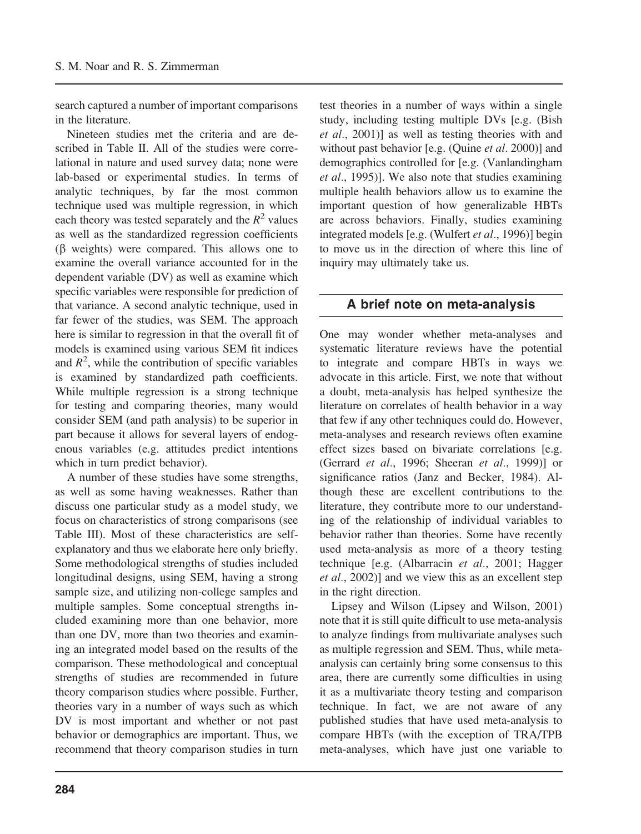search captured a number of important comparisons in the literature.

Nineteen studies met the criteria and are described in Table II. All of the studies were correlational in nature and used survey data; none were lab-based or experimental studies. In terms of analytic techniques, by far the most common technique used was multiple regression, in which each theory was tested separately and the  $R^2$  values as well as the standardized regression coefficients (b weights) were compared. This allows one to examine the overall variance accounted for in the dependent variable (DV) as well as examine which specific variables were responsible for prediction of that variance. A second analytic technique, used in far fewer of the studies, was SEM. The approach here is similar to regression in that the overall fit of models is examined using various SEM fit indices and  $R^2$ , while the contribution of specific variables is examined by standardized path coefficients. While multiple regression is a strong technique for testing and comparing theories, many would consider SEM (and path analysis) to be superior in part because it allows for several layers of endogenous variables (e.g. attitudes predict intentions which in turn predict behavior).

A number of these studies have some strengths, as well as some having weaknesses. Rather than discuss one particular study as a model study, we focus on characteristics of strong comparisons (see Table III). Most of these characteristics are selfexplanatory and thus we elaborate here only briefly. Some methodological strengths of studies included longitudinal designs, using SEM, having a strong sample size, and utilizing non-college samples and multiple samples. Some conceptual strengths included examining more than one behavior, more than one DV, more than two theories and examining an integrated model based on the results of the comparison. These methodological and conceptual strengths of studies are recommended in future theory comparison studies where possible. Further, theories vary in a number of ways such as which DV is most important and whether or not past behavior or demographics are important. Thus, we recommend that theory comparison studies in turn test theories in a number of ways within a single study, including testing multiple DVs [e.g. (Bish et al., 2001)] as well as testing theories with and without past behavior [e.g. (Quine et al. 2000)] and demographics controlled for [e.g. (Vanlandingham et al., 1995)]. We also note that studies examining multiple health behaviors allow us to examine the important question of how generalizable HBTs are across behaviors. Finally, studies examining integrated models [e.g. (Wulfert et al., 1996)] begin to move us in the direction of where this line of inquiry may ultimately take us.

#### A brief note on meta-analysis

One may wonder whether meta-analyses and systematic literature reviews have the potential to integrate and compare HBTs in ways we advocate in this article. First, we note that without a doubt, meta-analysis has helped synthesize the literature on correlates of health behavior in a way that few if any other techniques could do. However, meta-analyses and research reviews often examine effect sizes based on bivariate correlations [e.g. (Gerrard et al., 1996; Sheeran et al., 1999)] or significance ratios (Janz and Becker, 1984). Although these are excellent contributions to the literature, they contribute more to our understanding of the relationship of individual variables to behavior rather than theories. Some have recently used meta-analysis as more of a theory testing technique [e.g. (Albarracin et al., 2001; Hagger et al., 2002)] and we view this as an excellent step in the right direction.

Lipsey and Wilson (Lipsey and Wilson, 2001) note that it is still quite difficult to use meta-analysis to analyze findings from multivariate analyses such as multiple regression and SEM. Thus, while metaanalysis can certainly bring some consensus to this area, there are currently some difficulties in using it as a multivariate theory testing and comparison technique. In fact, we are not aware of any published studies that have used meta-analysis to compare HBTs (with the exception of TRA/TPB meta-analyses, which have just one variable to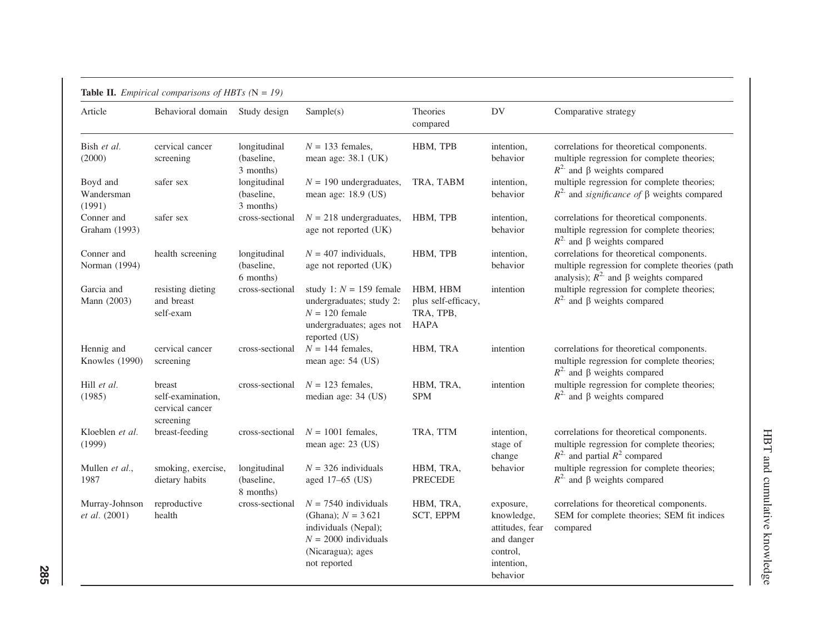| Article                          | Behavioral domain                                           | Study design                            | Sample(s)                                                                                                                            | Theories<br>compared                                        | DV                                                                                             | Comparative strategy                                                                                                                         |
|----------------------------------|-------------------------------------------------------------|-----------------------------------------|--------------------------------------------------------------------------------------------------------------------------------------|-------------------------------------------------------------|------------------------------------------------------------------------------------------------|----------------------------------------------------------------------------------------------------------------------------------------------|
| Bish et al.<br>(2000)            | cervical cancer<br>screening                                | longitudinal<br>(baseline,<br>3 months) | $N = 133$ females,<br>mean age: $38.1$ (UK)                                                                                          | HBM, TPB                                                    | intention.<br>behavior                                                                         | correlations for theoretical components.<br>multiple regression for complete theories;<br>$R^2$ and $\beta$ weights compared                 |
| Boyd and<br>Wandersman<br>(1991) | safer sex                                                   | longitudinal<br>(baseline,<br>3 months) | $N = 190$ undergraduates,<br>mean age: 18.9 (US)                                                                                     | TRA, TABM                                                   | intention,<br>behavior                                                                         | multiple regression for complete theories;<br>$R^2$ and <i>significance of</i> $\beta$ weights compared                                      |
| Conner and<br>Graham (1993)      | safer sex                                                   | cross-sectional                         | $N = 218$ undergraduates,<br>age not reported (UK)                                                                                   | HBM, TPB                                                    | intention,<br>behavior                                                                         | correlations for theoretical components.<br>multiple regression for complete theories;<br>$R^2$ and $\beta$ weights compared                 |
| Conner and<br>Norman (1994)      | health screening                                            | longitudinal<br>(baseline,<br>6 months) | $N = 407$ individuals,<br>age not reported (UK)                                                                                      | HBM, TPB                                                    | intention,<br>behavior                                                                         | correlations for theoretical components.<br>multiple regression for complete theories (path<br>analysis); $R^2$ and $\beta$ weights compared |
| Garcia and<br>Mann (2003)        | resisting dieting<br>and breast<br>self-exam                | cross-sectional                         | study 1: $N = 159$ female<br>undergraduates; study 2:<br>$N = 120$ female<br>undergraduates; ages not<br>reported (US)               | HBM, HBM<br>plus self-efficacy,<br>TRA, TPB,<br><b>HAPA</b> | intention                                                                                      | multiple regression for complete theories;<br>$R^2$ and $\beta$ weights compared                                                             |
| Hennig and<br>Knowles (1990)     | cervical cancer<br>screening                                | cross-sectional                         | $N = 144$ females,<br>mean age: 54 (US)                                                                                              | HBM, TRA                                                    | intention                                                                                      | correlations for theoretical components.<br>multiple regression for complete theories;<br>$R^2$ and $\beta$ weights compared                 |
| Hill et al.<br>(1985)            | breast<br>self-examination,<br>cervical cancer<br>screening | cross-sectional                         | $N = 123$ females,<br>median age: 34 (US)                                                                                            | HBM, TRA,<br><b>SPM</b>                                     | intention                                                                                      | multiple regression for complete theories;<br>$R^2$ and $\beta$ weights compared                                                             |
| Kloeblen et al.<br>(1999)        | breast-feeding                                              | cross-sectional                         | $N = 1001$ females,<br>mean age: 23 (US)                                                                                             | TRA, TTM                                                    | intention,<br>stage of<br>change                                                               | correlations for theoretical components.<br>multiple regression for complete theories;<br>$R^2$ and partial $R^2$ compared                   |
| Mullen et al.,<br>1987           | smoking, exercise,<br>dietary habits                        | longitudinal<br>(baseline,<br>8 months) | $N = 326$ individuals<br>aged 17-65 (US)                                                                                             | HBM, TRA,<br>PRECEDE                                        | behavior                                                                                       | multiple regression for complete theories;<br>$R^2$ and $\beta$ weights compared                                                             |
| Murray-Johnson<br>et al. (2001)  | reproductive<br>health                                      | cross-sectional                         | $N = 7540$ individuals<br>(Ghana); $N = 3621$<br>individuals (Nepal);<br>$N = 2000$ individuals<br>(Nicaragua); ages<br>not reported | HBM, TRA,<br>SCT, EPPM                                      | exposure,<br>knowledge,<br>attitudes, fear<br>and danger<br>control,<br>intention,<br>behavior | correlations for theoretical components.<br>SEM for complete theories; SEM fit indices<br>compared                                           |

285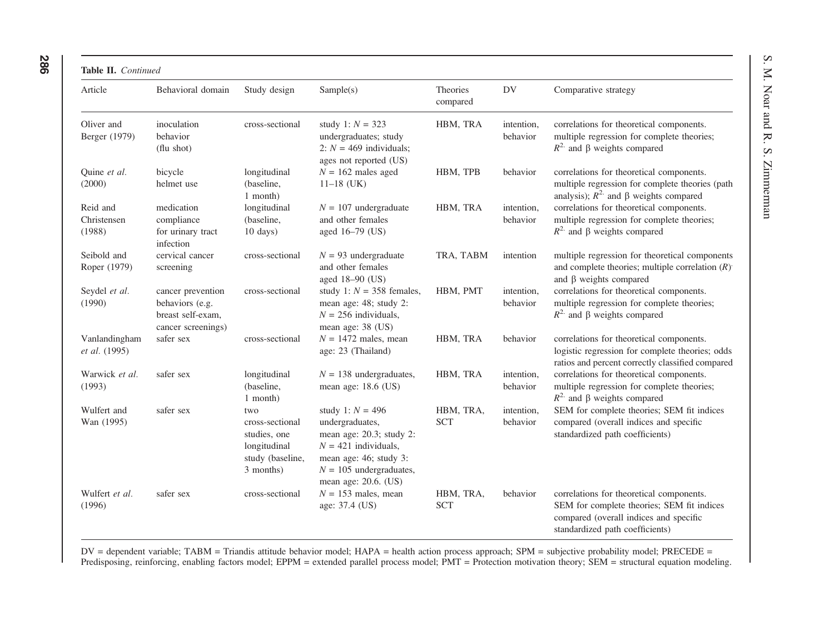| Table II. Continued               |                                                                                 |                                                                                         |                                                                                                                                                                            |                         |                        |                                                                                                                                                                     |
|-----------------------------------|---------------------------------------------------------------------------------|-----------------------------------------------------------------------------------------|----------------------------------------------------------------------------------------------------------------------------------------------------------------------------|-------------------------|------------------------|---------------------------------------------------------------------------------------------------------------------------------------------------------------------|
| Article                           | Behavioral domain                                                               | Study design                                                                            | Sample(s)                                                                                                                                                                  | Theories<br>compared    | <b>DV</b>              | Comparative strategy                                                                                                                                                |
| Oliver and<br>Berger (1979)       | inoculation<br>behavior<br>(flu shot)                                           | cross-sectional                                                                         | study 1: $N = 323$<br>undergraduates; study<br>2: $N = 469$ individuals;<br>ages not reported (US)                                                                         | HBM, TRA                | intention,<br>behavior | correlations for theoretical components.<br>multiple regression for complete theories;<br>$R^2$ and $\beta$ weights compared                                        |
| Quine et al.<br>(2000)            | bicycle<br>helmet use                                                           | longitudinal<br>(baseline,<br>1 month)                                                  | $N = 162$ males aged<br>$11-18$ (UK)                                                                                                                                       | HBM, TPB                | behavior               | correlations for theoretical components.<br>multiple regression for complete theories (path<br>analysis); $R^2$ and $\beta$ weights compared                        |
| Reid and<br>Christensen<br>(1988) | medication<br>compliance<br>for urinary tract<br>infection                      | longitudinal<br>(baseline,<br>10 days)                                                  | $N = 107$ undergraduate<br>and other females<br>aged 16-79 (US)                                                                                                            | HBM, TRA                | intention.<br>behavior | correlations for theoretical components.<br>multiple regression for complete theories;<br>$R^2$ and $\beta$ weights compared                                        |
| Seibold and<br>Roper (1979)       | cervical cancer<br>screening                                                    | cross-sectional                                                                         | $N = 93$ undergraduate<br>and other females<br>aged 18-90 (US)                                                                                                             | TRA, TABM               | intention              | multiple regression for theoretical components<br>and complete theories; multiple correlation $(R)$<br>and $\beta$ weights compared                                 |
| Seydel et al.<br>(1990)           | cancer prevention<br>behaviors (e.g.<br>breast self-exam,<br>cancer screenings) | cross-sectional                                                                         | study 1: $N = 358$ females,<br>mean age: 48; study 2:<br>$N = 256$ individuals,<br>mean age: 38 (US)                                                                       | HBM, PMT                | intention.<br>behavior | correlations for theoretical components.<br>multiple regression for complete theories;<br>$R^2$ and $\beta$ weights compared                                        |
| Vanlandingham<br>et al. (1995)    | safer sex                                                                       | cross-sectional                                                                         | $N = 1472$ males, mean<br>age: 23 (Thailand)                                                                                                                               | HBM, TRA                | behavior               | correlations for theoretical components.<br>logistic regression for complete theories; odds<br>ratios and percent correctly classified compared                     |
| Warwick et al.<br>(1993)          | safer sex                                                                       | longitudinal<br>(baseline,<br>1 month)                                                  | $N = 138$ undergraduates,<br>mean age: $18.6$ (US)                                                                                                                         | HBM, TRA                | intention.<br>behavior | correlations for theoretical components.<br>multiple regression for complete theories;<br>$R^2$ and $\beta$ weights compared                                        |
| Wulfert and<br>Wan (1995)         | safer sex                                                                       | two<br>cross-sectional<br>studies, one<br>longitudinal<br>study (baseline,<br>3 months) | study 1: $N = 496$<br>undergraduates,<br>mean age: 20.3; study 2:<br>$N = 421$ individuals,<br>mean age: 46; study 3:<br>$N = 105$ undergraduates,<br>mean age: 20.6. (US) | HBM, TRA,<br><b>SCT</b> | intention,<br>behavior | SEM for complete theories; SEM fit indices<br>compared (overall indices and specific<br>standardized path coefficients)                                             |
| Wulfert et al.<br>(1996)          | safer sex                                                                       | cross-sectional                                                                         | $N = 153$ males, mean<br>age: 37.4 (US)                                                                                                                                    | HBM, TRA,<br><b>SCT</b> | behavior               | correlations for theoretical components.<br>SEM for complete theories; SEM fit indices<br>compared (overall indices and specific<br>standardized path coefficients) |

S. M. Noar and R. S. Zimmerman S. M. Noar and R. S. Zimmerman

DV <sup>=</sup> dependent variable; TABM <sup>=</sup> Triandis attitude behavior model; HAPA <sup>=</sup> health action process approach; SPM <sup>=</sup> subjective probability model; PRECEDE <sup>=</sup> Predisposing, reinforcing, enabling factors model; EPPM <sup>=</sup> extended parallel process model; PMT <sup>=</sup> Protection motivation theory; SEM <sup>=</sup> structural equation modeling.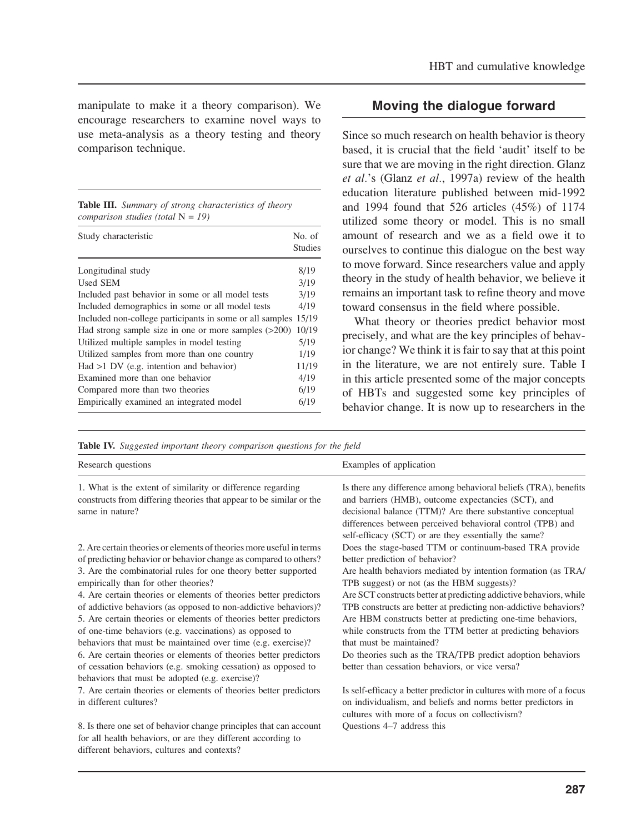manipulate to make it a theory comparison). We encourage researchers to examine novel ways to use meta-analysis as a theory testing and theory comparison technique.

|                                             |  | Table III. Summary of strong characteristics of theory |  |
|---------------------------------------------|--|--------------------------------------------------------|--|
| <i>comparison studies (total</i> $N = 19$ ) |  |                                                        |  |

| Study characteristic                                           | No. of<br><b>Studies</b> |
|----------------------------------------------------------------|--------------------------|
| Longitudinal study                                             | 8/19                     |
| Used SEM                                                       | 3/19                     |
| Included past behavior in some or all model tests              | 3/19                     |
| Included demographics in some or all model tests               | 4/19                     |
| Included non-college participants in some or all samples 15/19 |                          |
| Had strong sample size in one or more samples $(>200)$         | 10/19                    |
| Utilized multiple samples in model testing                     | 5/19                     |
| Utilized samples from more than one country                    | 1/19                     |
| Had $>1$ DV (e.g. intention and behavior)                      | 11/19                    |
| Examined more than one behavior                                | 4/19                     |
| Compared more than two theories                                | 6/19                     |
| Empirically examined an integrated model                       | 6/19                     |

#### Moving the dialogue forward

Since so much research on health behavior is theory based, it is crucial that the field 'audit' itself to be sure that we are moving in the right direction. Glanz et al.'s (Glanz et al., 1997a) review of the health education literature published between mid-1992 and 1994 found that 526 articles (45%) of 1174 utilized some theory or model. This is no small amount of research and we as a field owe it to ourselves to continue this dialogue on the best way to move forward. Since researchers value and apply theory in the study of health behavior, we believe it remains an important task to refine theory and move toward consensus in the field where possible.

What theory or theories predict behavior most precisely, and what are the key principles of behavior change? We think it is fair to say that at this point in the literature, we are not entirely sure. Table I in this article presented some of the major concepts of HBTs and suggested some key principles of behavior change. It is now up to researchers in the

|  |  |  |  | Table IV. Suggested important theory comparison questions for the field |  |  |  |  |
|--|--|--|--|-------------------------------------------------------------------------|--|--|--|--|
|--|--|--|--|-------------------------------------------------------------------------|--|--|--|--|

for all health behaviors, or are they different according to

different behaviors, cultures and contexts?

| Research questions                                                                                                                                    | Examples of application                                                                                                                                                                                                                                                                                      |
|-------------------------------------------------------------------------------------------------------------------------------------------------------|--------------------------------------------------------------------------------------------------------------------------------------------------------------------------------------------------------------------------------------------------------------------------------------------------------------|
| 1. What is the extent of similarity or difference regarding<br>constructs from differing theories that appear to be similar or the<br>same in nature? | Is there any difference among behavioral beliefs (TRA), benefits<br>and barriers (HMB), outcome expectancies (SCT), and<br>decisional balance (TTM)? Are there substantive conceptual<br>differences between perceived behavioral control (TPB) and<br>self-efficacy (SCT) or are they essentially the same? |
| 2. Are certain theories or elements of theories more useful in terms                                                                                  | Does the stage-based TTM or continuum-based TRA provide                                                                                                                                                                                                                                                      |
| of predicting behavior or behavior change as compared to others?                                                                                      | better prediction of behavior?                                                                                                                                                                                                                                                                               |
| 3. Are the combinatorial rules for one theory better supported                                                                                        | Are health behaviors mediated by intention formation (as TRA/                                                                                                                                                                                                                                                |
| empirically than for other theories?                                                                                                                  | TPB suggest) or not (as the HBM suggests)?                                                                                                                                                                                                                                                                   |
| 4. Are certain theories or elements of theories better predictors                                                                                     | Are SCT constructs better at predicting addictive behaviors, while                                                                                                                                                                                                                                           |
| of addictive behaviors (as opposed to non-addictive behaviors)?                                                                                       | TPB constructs are better at predicting non-addictive behaviors?                                                                                                                                                                                                                                             |
| 5. Are certain theories or elements of theories better predictors                                                                                     | Are HBM constructs better at predicting one-time behaviors,                                                                                                                                                                                                                                                  |
| of one-time behaviors (e.g. vaccinations) as opposed to                                                                                               | while constructs from the TTM better at predicting behaviors                                                                                                                                                                                                                                                 |
| behaviors that must be maintained over time (e.g. exercise)?                                                                                          | that must be maintained?                                                                                                                                                                                                                                                                                     |
| 6. Are certain theories or elements of theories better predictors                                                                                     | Do theories such as the TRA/TPB predict adoption behaviors                                                                                                                                                                                                                                                   |
| of cessation behaviors (e.g. smoking cessation) as opposed to                                                                                         | better than cessation behaviors, or vice versa?                                                                                                                                                                                                                                                              |
| behaviors that must be adopted (e.g. exercise)?                                                                                                       |                                                                                                                                                                                                                                                                                                              |
| 7. Are certain theories or elements of theories better predictors                                                                                     | Is self-efficacy a better predictor in cultures with more of a focus                                                                                                                                                                                                                                         |
| in different cultures?                                                                                                                                | on individualism, and beliefs and norms better predictors in                                                                                                                                                                                                                                                 |
|                                                                                                                                                       | cultures with more of a focus on collectivism?                                                                                                                                                                                                                                                               |
| 8. Is there one set of behavior change principles that can account                                                                                    | Questions 4–7 address this                                                                                                                                                                                                                                                                                   |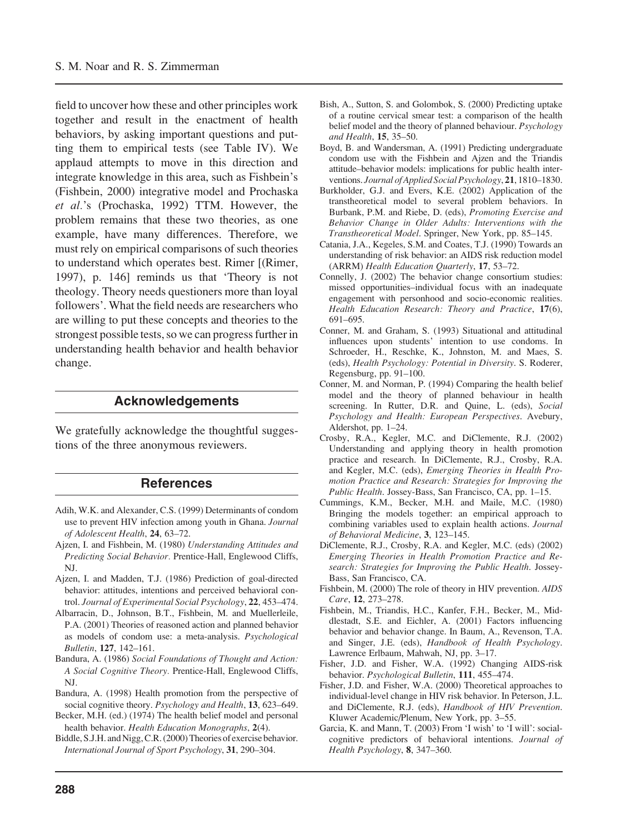field to uncover how these and other principles work together and result in the enactment of health behaviors, by asking important questions and putting them to empirical tests (see Table IV). We applaud attempts to move in this direction and integrate knowledge in this area, such as Fishbein's (Fishbein, 2000) integrative model and Prochaska et al.'s (Prochaska, 1992) TTM. However, the problem remains that these two theories, as one example, have many differences. Therefore, we must rely on empirical comparisons of such theories to understand which operates best. Rimer [(Rimer, 1997), p. 146] reminds us that 'Theory is not theology. Theory needs questioners more than loyal followers'. What the field needs are researchers who are willing to put these concepts and theories to the strongest possible tests, so we can progress further in understanding health behavior and health behavior change.

#### Acknowledgements

We gratefully acknowledge the thoughtful suggestions of the three anonymous reviewers.

#### **References**

- Adih, W.K. and Alexander, C.S. (1999) Determinants of condom use to prevent HIV infection among youth in Ghana. Journal of Adolescent Health, 24, 63–72.
- Ajzen, I. and Fishbein, M. (1980) Understanding Attitudes and Predicting Social Behavior. Prentice-Hall, Englewood Cliffs, NJ.
- Ajzen, I. and Madden, T.J. (1986) Prediction of goal-directed behavior: attitudes, intentions and perceived behavioral control. Journal of Experimental Social Psychology, 22, 453–474.
- Albarracin, D., Johnson, B.T., Fishbein, M. and Muellerleile, P.A. (2001) Theories of reasoned action and planned behavior as models of condom use: a meta-analysis. Psychological Bulletin, 127, 142–161.
- Bandura, A. (1986) Social Foundations of Thought and Action: A Social Cognitive Theory. Prentice-Hall, Englewood Cliffs, NJ.
- Bandura, A. (1998) Health promotion from the perspective of social cognitive theory. Psychology and Health, 13, 623-649.
- Becker, M.H. (ed.) (1974) The health belief model and personal health behavior. Health Education Monographs, 2(4).
- Biddle, S.J.H. and Nigg,C.R. (2000) Theories of exercise behavior. International Journal of Sport Psychology, 31, 290–304.
- Bish, A., Sutton, S. and Golombok, S. (2000) Predicting uptake of a routine cervical smear test: a comparison of the health belief model and the theory of planned behaviour. *Psychology* and Health, 15, 35–50.
- Boyd, B. and Wandersman, A. (1991) Predicting undergraduate condom use with the Fishbein and Ajzen and the Triandis attitude–behavior models: implications for public health interventions. Journal of Applied Social Psychology, 21, 1810–1830.
- Burkholder, G.J. and Evers, K.E. (2002) Application of the transtheoretical model to several problem behaviors. In Burbank, P.M. and Riebe, D. (eds), Promoting Exercise and Behavior Change in Older Adults: Interventions with the Transtheoretical Model. Springer, New York, pp. 85–145.
- Catania, J.A., Kegeles, S.M. and Coates, T.J. (1990) Towards an understanding of risk behavior: an AIDS risk reduction model (ARRM) Health Education Quarterly, 17, 53–72.
- Connelly, J. (2002) The behavior change consortium studies: missed opportunities–individual focus with an inadequate engagement with personhood and socio-economic realities. Health Education Research: Theory and Practice, 17(6), 691–695.
- Conner, M. and Graham, S. (1993) Situational and attitudinal influences upon students' intention to use condoms. In Schroeder, H., Reschke, K., Johnston, M. and Maes, S. (eds), Health Psychology: Potential in Diversity. S. Roderer, Regensburg, pp. 91–100.
- Conner, M. and Norman, P. (1994) Comparing the health belief model and the theory of planned behaviour in health screening. In Rutter, D.R. and Quine, L. (eds), Social Psychology and Health: European Perspectives. Avebury, Aldershot, pp. 1–24.
- Crosby, R.A., Kegler, M.C. and DiClemente, R.J. (2002) Understanding and applying theory in health promotion practice and research. In DiClemente, R.J., Crosby, R.A. and Kegler, M.C. (eds), Emerging Theories in Health Promotion Practice and Research: Strategies for Improving the Public Health. Jossey-Bass, San Francisco, CA, pp. 1–15.
- Cummings, K.M., Becker, M.H. and Maile, M.C. (1980) Bringing the models together: an empirical approach to combining variables used to explain health actions. Journal of Behavioral Medicine, 3, 123–145.
- DiClemente, R.J., Crosby, R.A. and Kegler, M.C. (eds) (2002) Emerging Theories in Health Promotion Practice and Research: Strategies for Improving the Public Health. Jossey-Bass, San Francisco, CA.
- Fishbein, M. (2000) The role of theory in HIV prevention. AIDS Care, 12, 273–278.
- Fishbein, M., Triandis, H.C., Kanfer, F.H., Becker, M., Middlestadt, S.E. and Eichler, A. (2001) Factors influencing behavior and behavior change. In Baum, A., Revenson, T.A. and Singer, J.E. (eds), Handbook of Health Psychology. Lawrence Erlbaum, Mahwah, NJ, pp. 3–17.
- Fisher, J.D. and Fisher, W.A. (1992) Changing AIDS-risk behavior. Psychological Bulletin, 111, 455–474.
- Fisher, J.D. and Fisher, W.A. (2000) Theoretical approaches to individual-level change in HIV risk behavior. In Peterson, J.L. and DiClemente, R.J. (eds), Handbook of HIV Prevention. Kluwer Academic/Plenum, New York, pp. 3–55.
- Garcia, K. and Mann, T. (2003) From 'I wish' to 'I will': socialcognitive predictors of behavioral intentions. Journal of Health Psychology, 8, 347–360.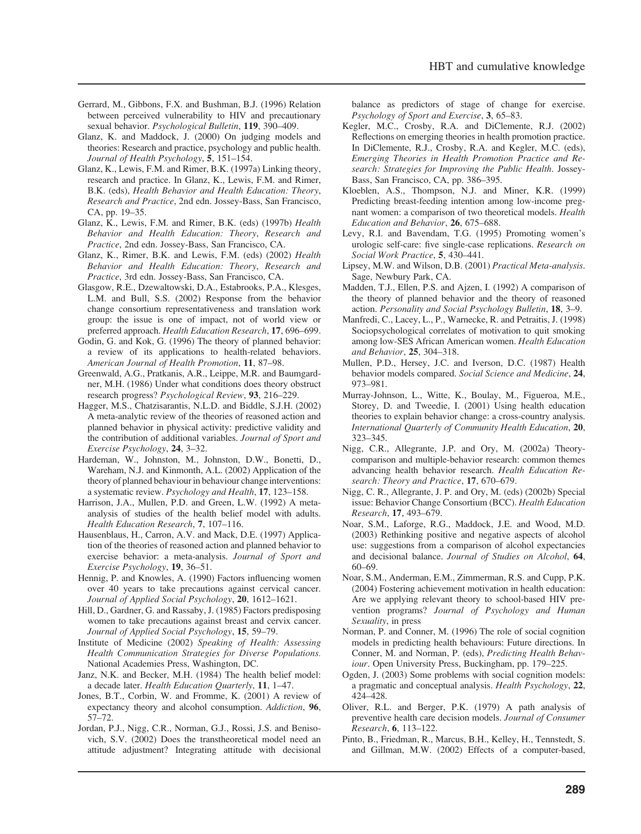- Gerrard, M., Gibbons, F.X. and Bushman, B.J. (1996) Relation between perceived vulnerability to HIV and precautionary sexual behavior. Psychological Bulletin, 119, 390-409.
- Glanz, K. and Maddock, J. (2000) On judging models and theories: Research and practice, psychology and public health. Journal of Health Psychology, 5, 151–154.
- Glanz, K., Lewis, F.M. and Rimer, B.K. (1997a) Linking theory, research and practice. In Glanz, K., Lewis, F.M. and Rimer, B.K. (eds), Health Behavior and Health Education: Theory, Research and Practice, 2nd edn. Jossey-Bass, San Francisco, CA, pp. 19–35.
- Glanz, K., Lewis, F.M. and Rimer, B.K. (eds) (1997b) Health Behavior and Health Education: Theory, Research and Practice, 2nd edn. Jossey-Bass, San Francisco, CA.
- Glanz, K., Rimer, B.K. and Lewis, F.M. (eds) (2002) Health Behavior and Health Education: Theory, Research and Practice, 3rd edn. Jossey-Bass, San Francisco, CA.
- Glasgow, R.E., Dzewaltowski, D.A., Estabrooks, P.A., Klesges, L.M. and Bull, S.S. (2002) Response from the behavior change consortium representativeness and translation work group: the issue is one of impact, not of world view or preferred approach. Health Education Research, 17, 696–699.
- Godin, G. and Kok, G. (1996) The theory of planned behavior: a review of its applications to health-related behaviors. American Journal of Health Promotion, 11, 87–98.
- Greenwald, A.G., Pratkanis, A.R., Leippe, M.R. and Baumgardner, M.H. (1986) Under what conditions does theory obstruct research progress? Psychological Review, 93, 216–229.
- Hagger, M.S., Chatzisarantis, N.L.D. and Biddle, S.J.H. (2002) A meta-analytic review of the theories of reasoned action and planned behavior in physical activity: predictive validity and the contribution of additional variables. Journal of Sport and Exercise Psychology, 24, 3–32.
- Hardeman, W., Johnston, M., Johnston, D.W., Bonetti, D., Wareham, N.J. and Kinmonth, A.L. (2002) Application of the theory of planned behaviour in behaviour change interventions: a systematic review. Psychology and Health, 17, 123–158.
- Harrison, J.A., Mullen, P.D. and Green, L.W. (1992) A metaanalysis of studies of the health belief model with adults. Health Education Research, 7, 107–116.
- Hausenblaus, H., Carron, A.V. and Mack, D.E. (1997) Application of the theories of reasoned action and planned behavior to exercise behavior: a meta-analysis. Journal of Sport and Exercise Psychology, 19, 36–51.
- Hennig, P. and Knowles, A. (1990) Factors influencing women over 40 years to take precautions against cervical cancer. Journal of Applied Social Psychology, 20, 1612–1621.
- Hill, D., Gardner, G. and Rassaby, J. (1985) Factors predisposing women to take precautions against breast and cervix cancer. Journal of Applied Social Psychology, 15, 59–79.
- Institute of Medicine (2002) Speaking of Health: Assessing Health Communication Strategies for Diverse Populations. National Academies Press, Washington, DC.
- Janz, N.K. and Becker, M.H. (1984) The health belief model: a decade later. Health Education Quarterly, 11, 1–47.
- Jones, B.T., Corbin, W. and Fromme, K. (2001) A review of expectancy theory and alcohol consumption. Addiction, 96, 57–72.
- Jordan, P.J., Nigg, C.R., Norman, G.J., Rossi, J.S. and Benisovich, S.V. (2002) Does the transtheoretical model need an attitude adjustment? Integrating attitude with decisional

balance as predictors of stage of change for exercise. Psychology of Sport and Exercise, 3, 65–83.

- Kegler, M.C., Crosby, R.A. and DiClemente, R.J. (2002) Reflections on emerging theories in health promotion practice. In DiClemente, R.J., Crosby, R.A. and Kegler, M.C. (eds), Emerging Theories in Health Promotion Practice and Research: Strategies for Improving the Public Health. Jossey-Bass, San Francisco, CA, pp. 386–395.
- Kloeblen, A.S., Thompson, N.J. and Miner, K.R. (1999) Predicting breast-feeding intention among low-income pregnant women: a comparison of two theoretical models. Health Education and Behavior, 26, 675–688.
- Levy, R.I. and Bavendam, T.G. (1995) Promoting women's urologic self-care: five single-case replications. Research on Social Work Practice, 5, 430–441.
- Lipsey, M.W. and Wilson, D.B. (2001) Practical Meta-analysis. Sage, Newbury Park, CA.
- Madden, T.J., Ellen, P.S. and Ajzen, I. (1992) A comparison of the theory of planned behavior and the theory of reasoned action. Personality and Social Psychology Bulletin, 18, 3–9.
- Manfredi, C., Lacey, L., P., Warnecke, R. and Petraitis, J. (1998) Sociopsychological correlates of motivation to quit smoking among low-SES African American women. Health Education and Behavior, 25, 304–318.
- Mullen, P.D., Hersey, J.C. and Iverson, D.C. (1987) Health behavior models compared. Social Science and Medicine, 24, 973–981.
- Murray-Johnson, L., Witte, K., Boulay, M., Figueroa, M.E., Storey, D. and Tweedie, I. (2001) Using health education theories to explain behavior change: a cross-country analysis. International Quarterly of Community Health Education, 20, 323–345.
- Nigg, C.R., Allegrante, J.P. and Ory, M. (2002a) Theorycomparison and multiple-behavior research: common themes advancing health behavior research. Health Education Research: Theory and Practice, 17, 670–679.
- Nigg, C. R., Allegrante, J. P. and Ory, M. (eds) (2002b) Special issue: Behavior Change Consortium (BCC). Health Education Research, 17, 493–679.
- Noar, S.M., Laforge, R.G., Maddock, J.E. and Wood, M.D. (2003) Rethinking positive and negative aspects of alcohol use: suggestions from a comparison of alcohol expectancies and decisional balance. Journal of Studies on Alcohol, 64, 60–69.
- Noar, S.M., Anderman, E.M., Zimmerman, R.S. and Cupp, P.K. (2004) Fostering achievement motivation in health education: Are we applying relevant theory to school-based HIV prevention programs? Journal of Psychology and Human Sexuality, in press
- Norman, P. and Conner, M. (1996) The role of social cognition models in predicting health behaviours: Future directions. In Conner, M. and Norman, P. (eds), Predicting Health Behaviour. Open University Press, Buckingham, pp. 179–225.
- Ogden, J. (2003) Some problems with social cognition models: a pragmatic and conceptual analysis. Health Psychology, 22, 424–428.
- Oliver, R.L. and Berger, P.K. (1979) A path analysis of preventive health care decision models. Journal of Consumer Research, 6, 113–122.
- Pinto, B., Friedman, R., Marcus, B.H., Kelley, H., Tennstedt, S. and Gillman, M.W. (2002) Effects of a computer-based,